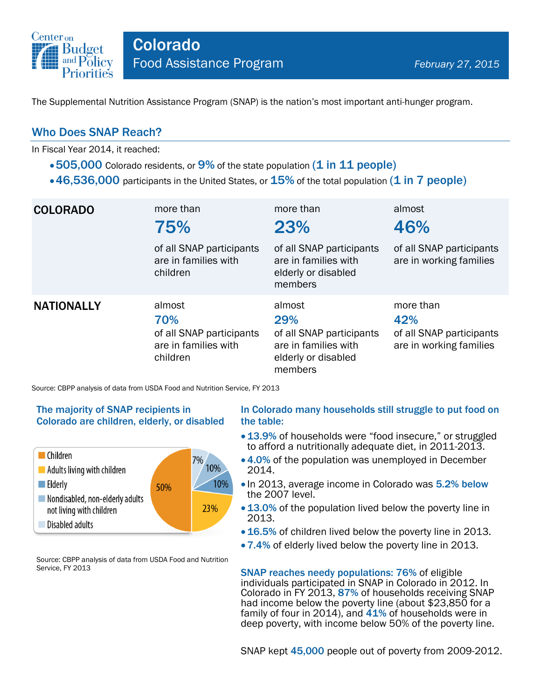

The Supplemental Nutrition Assistance Program (SNAP) is the nation's most important anti-hunger program.

## Who Does SNAP Reach?

In Fiscal Year 2014, it reached:

- $\bullet$  505,000 Colorado residents, or 9% of the state population (1 in 11 people)
- $\cdot$  46,536,000 participants in the United States, or  $15\%$  of the total population (1 in 7 people)

| <b>COLORADO</b>   | more than<br>75%<br>of all SNAP participants<br>are in families with<br>children | more than<br>23%<br>of all SNAP participants<br>are in families with<br>elderly or disabled<br>members | almost<br>46%<br>of all SNAP participants<br>are in working families    |
|-------------------|----------------------------------------------------------------------------------|--------------------------------------------------------------------------------------------------------|-------------------------------------------------------------------------|
| <b>NATIONALLY</b> | almost<br>70%<br>of all SNAP participants<br>are in families with<br>children    | almost<br>29%<br>of all SNAP participants<br>are in families with<br>elderly or disabled<br>members    | more than<br>42%<br>of all SNAP participants<br>are in working families |

Source: CBPP analysis of data from USDA Food and Nutrition Service, FY 2013

#### The majority of SNAP recipients in Colorado are children, elderly, or disabled



Source: CBPP analysis of data from USDA Food and Nutrition Service, FY 2013

#### In Colorado many households still struggle to put food on the table:

- 13.9% of households were "food insecure," or struggled to afford a nutritionally adequate diet, in 2011-2013.
- 4.0% of the population was unemployed in December 2014.
- In 2013, average income in Colorado was 5.2% below the 2007 level.
- 13.0% of the population lived below the poverty line in 2013.
- 16.5% of children lived below the poverty line in 2013.
- 7.4% of elderly lived below the poverty line in 2013.

SNAP reaches needy populations: 76% of eligible individuals participated in SNAP in Colorado in 2012. In Colorado in FY 2013, 87% of households receiving SNAP had income below the poverty line (about \$23,850 for a family of four in 2014), and 41% of households were in deep poverty, with income below 50% of the poverty line.

SNAP kept 45,000 people out of poverty from 2009-2012.